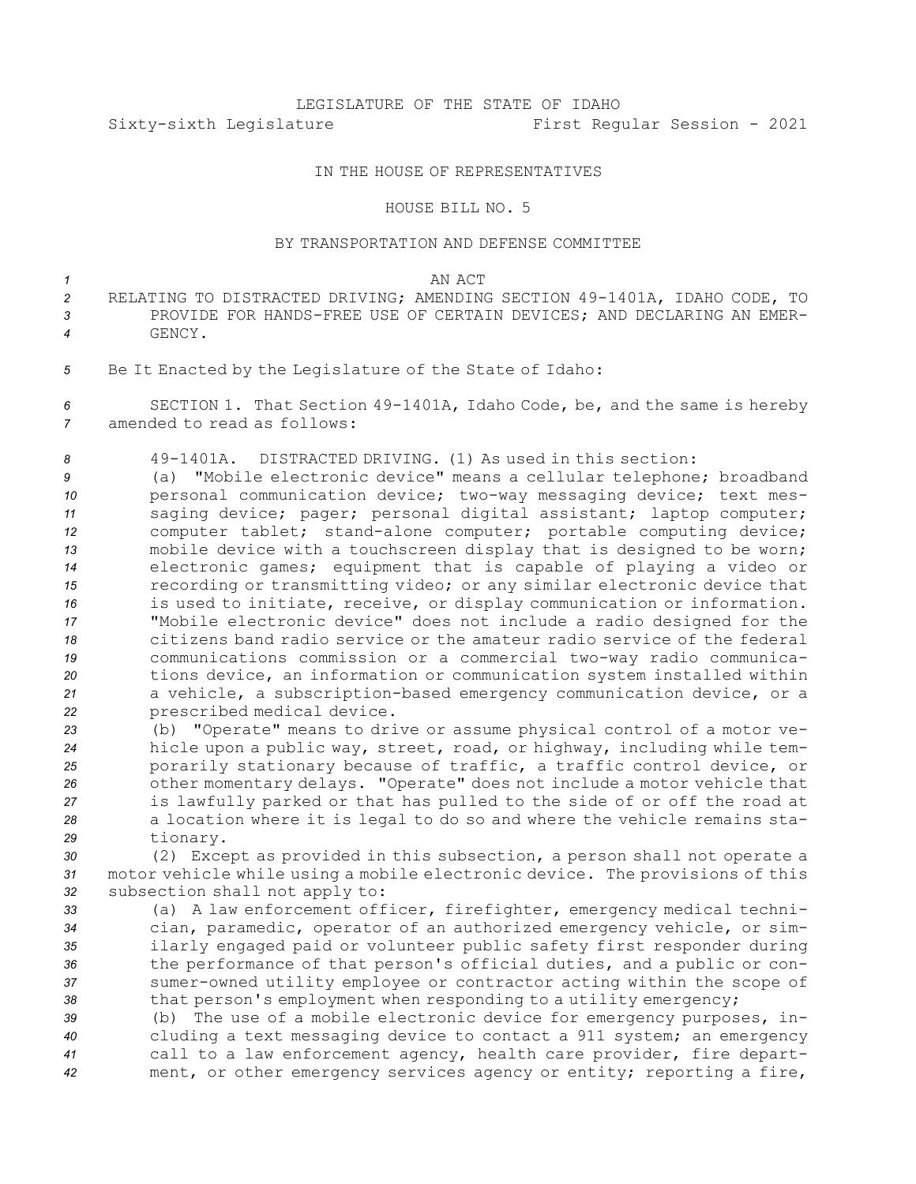## LEGISLATURE OF THE STATE OF IDAHO Sixty-sixth Legislature First Regular Session - 2021

## IN THE HOUSE OF REPRESENTATIVES

## HOUSE BILL NO. 5

## BY TRANSPORTATION AND DEFENSE COMMITTEE

- *1* AN ACT *<sup>2</sup>* RELATING TO DISTRACTED DRIVING; AMENDING SECTION 49-1401A, IDAHO CODE, TO *3* PROVIDE FOR HANDS-FREE USE OF CERTAIN DEVICES; AND DECLARING AN EMER-*4* GENCY.
- *<sup>5</sup>* Be It Enacted by the Legislature of the State of Idaho:

*<sup>6</sup>* SECTION 1. That Section 49-1401A, Idaho Code, be, and the same is hereby *7* amended to read as follows:

*8* 49-1401A. DISTRACTED DRIVING. (1) As used in this section:

 (a) "Mobile electronic device" means <sup>a</sup> cellular telephone; broadband personal communication device; two-way messaging device; text mes- saging device; pager; personal digital assistant; laptop computer; computer tablet; stand-alone computer; portable computing device; mobile device with <sup>a</sup> touchscreen display that is designed to be worn; electronic games; equipment that is capable of playing <sup>a</sup> video or recording or transmitting video; or any similar electronic device that is used to initiate, receive, or display communication or information. "Mobile electronic device" does not include <sup>a</sup> radio designed for the citizens band radio service or the amateur radio service of the federal communications commission or <sup>a</sup> commercial two-way radio communica- tions device, an information or communication system installed within <sup>a</sup> vehicle, <sup>a</sup> subscription-based emergency communication device, or <sup>a</sup> prescribed medical device.

 (b) "Operate" means to drive or assume physical control of <sup>a</sup> motor ve- hicle upon <sup>a</sup> public way, street, road, or highway, including while tem- porarily stationary because of traffic, <sup>a</sup> traffic control device, or other momentary delays. "Operate" does not include <sup>a</sup> motor vehicle that is lawfully parked or that has pulled to the side of or off the road at <sup>a</sup> location where it is legal to do so and where the vehicle remains sta-*<sup>29</sup>* tionary.

*<sup>30</sup>* (2) Except as provided in this subsection, <sup>a</sup> person shall not operate <sup>a</sup> *<sup>31</sup>* motor vehicle while using <sup>a</sup> mobile electronic device. The provisions of this *<sup>32</sup>* subsection shall not apply to:

 (a) <sup>A</sup> law enforcement officer, firefighter, emergency medical techni- cian, paramedic, operator of an authorized emergency vehicle, or sim- ilarly engaged paid or volunteer public safety first responder during the performance of that person's official duties, and <sup>a</sup> public or con- sumer-owned utility employee or contractor acting within the scope of 38 that person's employment when responding to a utility emergency;

 (b) The use of <sup>a</sup> mobile electronic device for emergency purposes, in- cluding <sup>a</sup> text messaging device to contact <sup>a</sup> 911 system; an emergency call to <sup>a</sup> law enforcement agency, health care provider, fire depart-ment, or other emergency services agency or entity; reporting <sup>a</sup> fire,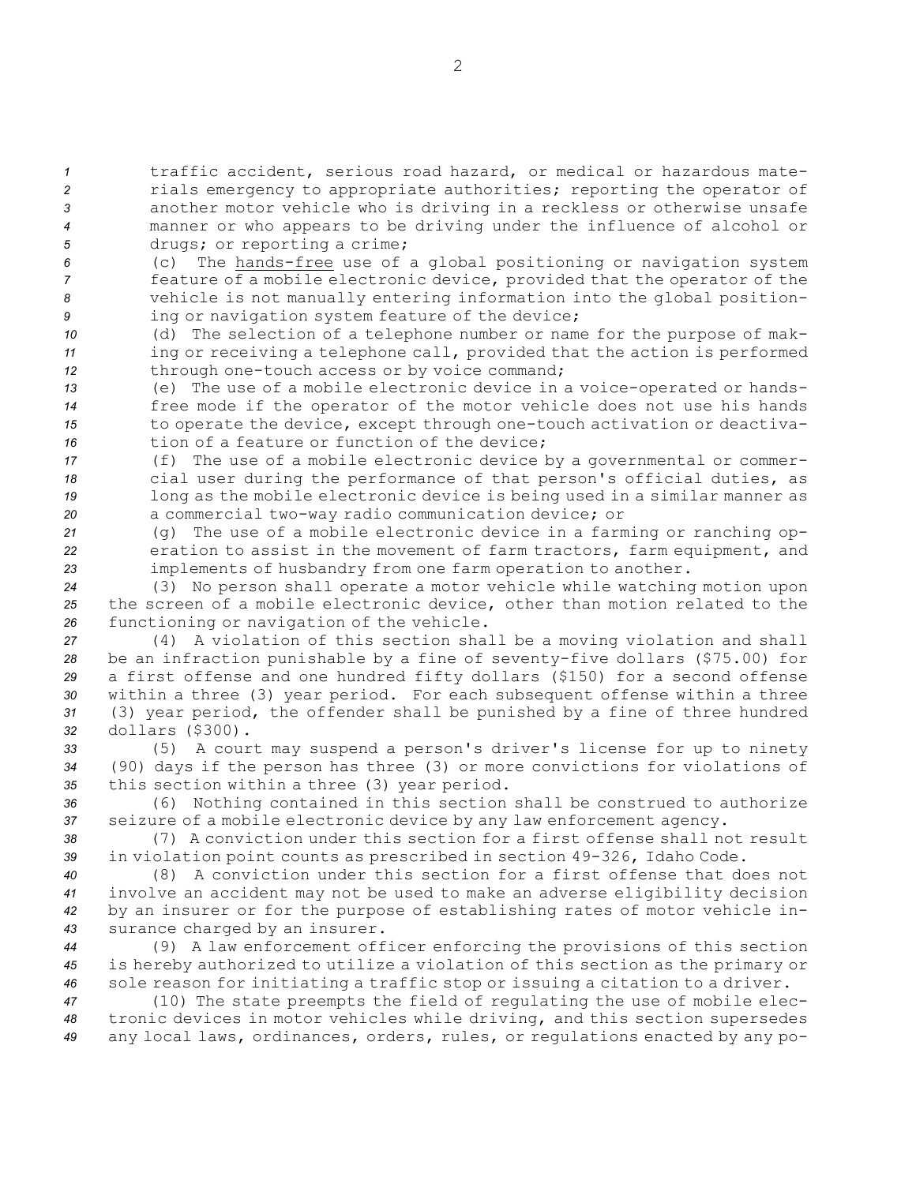traffic accident, serious road hazard, or medical or hazardous mate- rials emergency to appropriate authorities; reporting the operator of another motor vehicle who is driving in <sup>a</sup> reckless or otherwise unsafe manner or who appears to be driving under the influence of alcohol or drugs; or reporting <sup>a</sup> crime;

 (c) The hands-free use of <sup>a</sup> global positioning or navigation system feature of <sup>a</sup> mobile electronic device, provided that the operator of the vehicle is not manually entering information into the global position-ing or navigation system feature of the device;

*<sup>10</sup>* (d) The selection of <sup>a</sup> telephone number or name for the purpose of mak-*<sup>11</sup>* ing or receiving <sup>a</sup> telephone call, provided that the action is performed *<sup>12</sup>* through one-touch access or by voice command;

 (e) The use of <sup>a</sup> mobile electronic device in <sup>a</sup> voice-operated or hands- free mode if the operator of the motor vehicle does not use his hands to operate the device, except through one-touch activation or deactiva-16 tion of a feature or function of the device;

 (f) The use of <sup>a</sup> mobile electronic device by <sup>a</sup> governmental or commer- cial user during the performance of that person's official duties, as long as the mobile electronic device is being used in <sup>a</sup> similar manner as <sup>a</sup> commercial two-way radio communication device; or

*<sup>21</sup>* (g) The use of <sup>a</sup> mobile electronic device in <sup>a</sup> farming or ranching op-*<sup>22</sup>* eration to assist in the movement of farm tractors, farm equipment, and *<sup>23</sup>* implements of husbandry from one farm operation to another.

*<sup>24</sup>* (3) No person shall operate <sup>a</sup> motor vehicle while watching motion upon *<sup>25</sup>* the screen of <sup>a</sup> mobile electronic device, other than motion related to the *<sup>26</sup>* functioning or navigation of the vehicle.

 (4) <sup>A</sup> violation of this section shall be <sup>a</sup> moving violation and shall be an infraction punishable by <sup>a</sup> fine of seventy-five dollars (\$75.00) for <sup>a</sup> first offense and one hundred fifty dollars (\$150) for <sup>a</sup> second offense within <sup>a</sup> three (3) year period. For each subsequent offense within <sup>a</sup> three (3) year period, the offender shall be punished by <sup>a</sup> fine of three hundred dollars (\$300).

*<sup>33</sup>* (5) <sup>A</sup> court may suspend <sup>a</sup> person's driver's license for up to ninety *<sup>34</sup>* (90) days if the person has three (3) or more convictions for violations of *<sup>35</sup>* this section within <sup>a</sup> three (3) year period.

*<sup>36</sup>* (6) Nothing contained in this section shall be construed to authorize *<sup>37</sup>* seizure of <sup>a</sup> mobile electronic device by any law enforcement agency.

*38* (7) A conviction under this section for <sup>a</sup> first offense shall not result *<sup>39</sup>* in violation point counts as prescribed in section 49-326, Idaho Code.

 (8) A conviction under this section for <sup>a</sup> first offense that does not involve an accident may not be used to make an adverse eligibility decision by an insurer or for the purpose of establishing rates of motor vehicle in-surance charged by an insurer.

*<sup>44</sup>* (9) <sup>A</sup> law enforcement officer enforcing the provisions of this section *<sup>45</sup>* is hereby authorized to utilize <sup>a</sup> violation of this section as the primary or *<sup>46</sup>* sole reason for initiating <sup>a</sup> traffic stop or issuing <sup>a</sup> citation to <sup>a</sup> driver.

*<sup>47</sup>* (10) The state preempts the field of regulating the use of mobile elec-*<sup>48</sup>* tronic devices in motor vehicles while driving, and this section supersedes *<sup>49</sup>* any local laws, ordinances, orders, rules, or regulations enacted by any po-